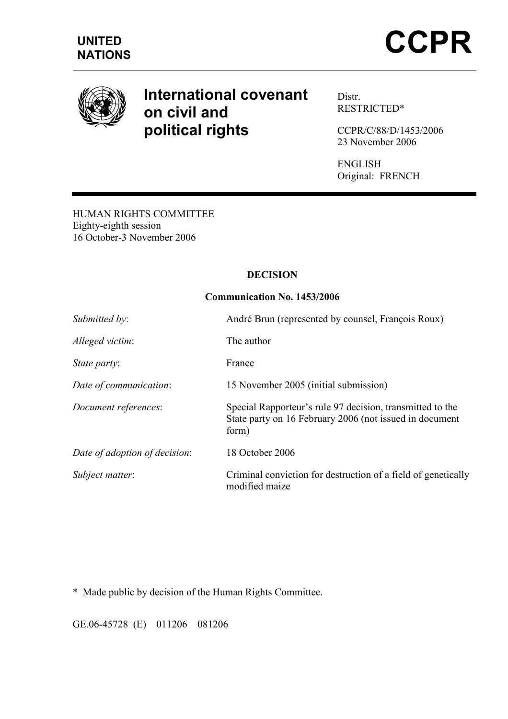

# International covenant on civil and political rights

Distr. RESTRICTED\*

CCPR/C/88/D/1453/2006 23 November 2006

ENGLISH Original: FRENCH

HUMAN RIGHTS COMMITTEE Eighty-eighth session 16 October-3 November 2006

# DECISION

# Communication No. 1453/2006

| Submitted by:                 | André Brun (represented by counsel, François Roux)                                                                            |
|-------------------------------|-------------------------------------------------------------------------------------------------------------------------------|
| Alleged victim:               | The author                                                                                                                    |
| State party:                  | France                                                                                                                        |
| Date of communication:        | 15 November 2005 (initial submission)                                                                                         |
| Document references:          | Special Rapporteur's rule 97 decision, transmitted to the<br>State party on 16 February 2006 (not issued in document<br>form) |
| Date of adoption of decision: | 18 October 2006                                                                                                               |
| Subject matter:               | Criminal conviction for destruction of a field of genetically<br>modified maize                                               |

 $\overline{a}$ \* Made public by decision of the Human Rights Committee.

GE.06-45728 (E) 011206 081206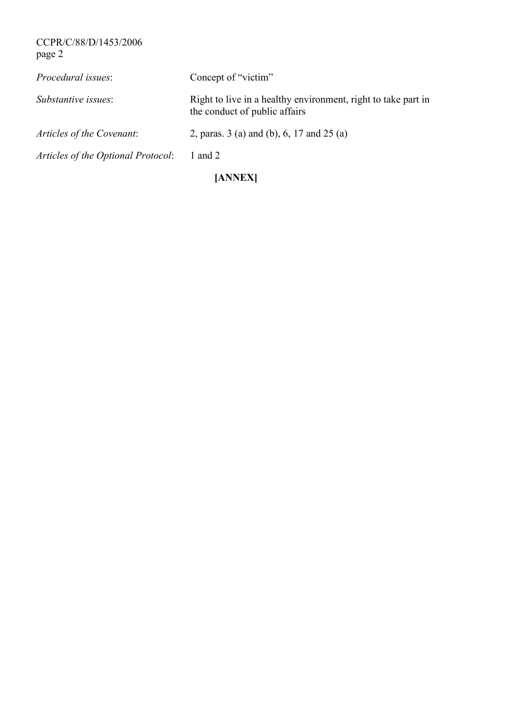CCPR/C/88/D/1453/2006 page 2

| [ANNEX]                            |                                                                                                |  |
|------------------------------------|------------------------------------------------------------------------------------------------|--|
| Articles of the Optional Protocol: | 1 and 2                                                                                        |  |
| Articles of the Covenant:          | 2, paras. $3$ (a) and (b), 6, 17 and 25 (a)                                                    |  |
| Substantive issues:                | Right to live in a healthy environment, right to take part in<br>the conduct of public affairs |  |
| Procedural issues:                 | Concept of "victim"                                                                            |  |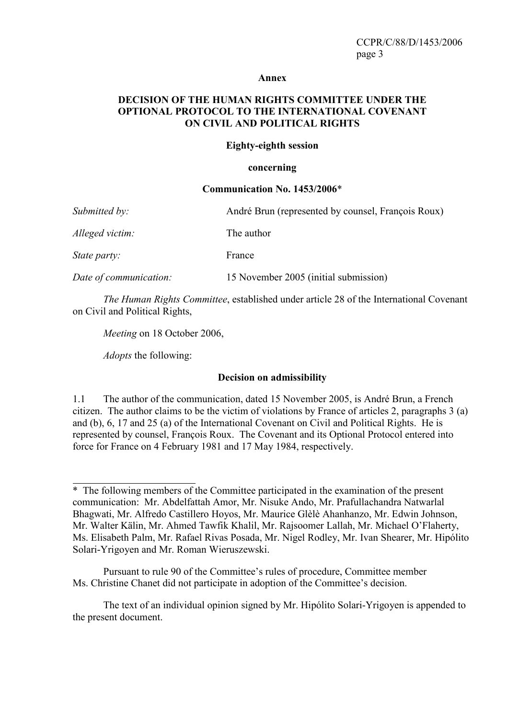#### Annex

# DECISION OF THE HUMAN RIGHTS COMMITTEE UNDER THE OPTIONAL PROTOCOL TO THE INTERNATIONAL COVENANT ON CIVIL AND POLITICAL RIGHTS

### Eighty-eighth session

### concerning

#### Communication No. 1453/2006\*

| Submitted by:          | André Brun (represented by counsel, François Roux) |
|------------------------|----------------------------------------------------|
| Alleged victim:        | The author                                         |
| <i>State party:</i>    | France                                             |
| Date of communication: | 15 November 2005 (initial submission)              |

The Human Rights Committee, established under article 28 of the International Covenant on Civil and Political Rights,

Meeting on 18 October 2006,

Adopts the following:

 $\overline{a}$ 

### Decision on admissibility

1.1 The author of the communication, dated 15 November 2005, is André Brun, a French citizen. The author claims to be the victim of violations by France of articles 2, paragraphs 3 (a) and (b), 6, 17 and 25 (a) of the International Covenant on Civil and Political Rights. He is represented by counsel, François Roux. The Covenant and its Optional Protocol entered into force for France on 4 February 1981 and 17 May 1984, respectively.

Pursuant to rule 90 of the Committee's rules of procedure, Committee member Ms. Christine Chanet did not participate in adoption of the Committee's decision.

 The text of an individual opinion signed by Mr. Hipólito Solari-Yrigoyen is appended to the present document.

<sup>\*</sup> The following members of the Committee participated in the examination of the present communication: Mr. Abdelfattah Amor, Mr. Nisuke Ando, Mr. Prafullachandra Natwarlal Bhagwati, Mr. Alfredo Castillero Hoyos, Mr. Maurice Glèlè Ahanhanzo, Mr. Edwin Johnson, Mr. Walter Kälin, Mr. Ahmed Tawfik Khalil, Mr. Rajsoomer Lallah, Mr. Michael O'Flaherty, Ms. Elisabeth Palm, Mr. Rafael Rivas Posada, Mr. Nigel Rodley, Mr. Ivan Shearer, Mr. Hipólito Solari-Yrigoyen and Mr. Roman Wieruszewski.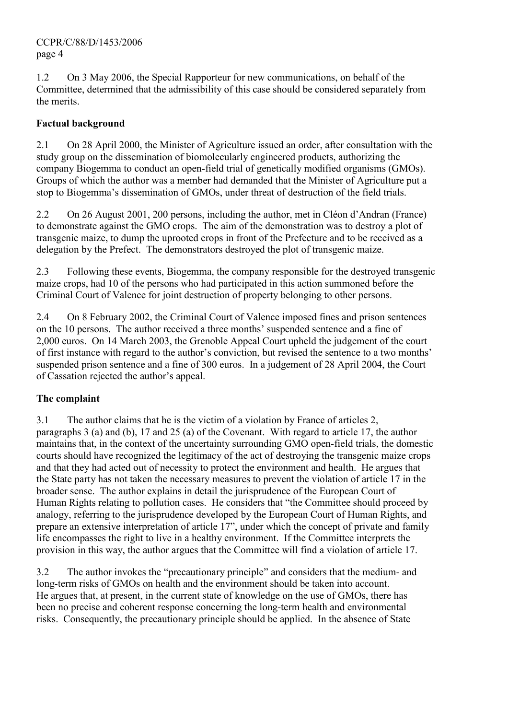# CCPR/C/88/D/1453/2006 page 4

1.2 On 3 May 2006, the Special Rapporteur for new communications, on behalf of the Committee, determined that the admissibility of this case should be considered separately from the merits.

# Factual background

2.1 On 28 April 2000, the Minister of Agriculture issued an order, after consultation with the study group on the dissemination of biomolecularly engineered products, authorizing the company Biogemma to conduct an open-field trial of genetically modified organisms (GMOs). Groups of which the author was a member had demanded that the Minister of Agriculture put a stop to Biogemma's dissemination of GMOs, under threat of destruction of the field trials.

2.2 On 26 August 2001, 200 persons, including the author, met in Cléon d'Andran (France) to demonstrate against the GMO crops. The aim of the demonstration was to destroy a plot of transgenic maize, to dump the uprooted crops in front of the Prefecture and to be received as a delegation by the Prefect. The demonstrators destroyed the plot of transgenic maize.

2.3 Following these events, Biogemma, the company responsible for the destroyed transgenic maize crops, had 10 of the persons who had participated in this action summoned before the Criminal Court of Valence for joint destruction of property belonging to other persons.

2.4 On 8 February 2002, the Criminal Court of Valence imposed fines and prison sentences on the 10 persons. The author received a three months' suspended sentence and a fine of 2,000 euros. On 14 March 2003, the Grenoble Appeal Court upheld the judgement of the court of first instance with regard to the author's conviction, but revised the sentence to a two months' suspended prison sentence and a fine of 300 euros. In a judgement of 28 April 2004, the Court of Cassation rejected the author's appeal.

# The complaint

3.1 The author claims that he is the victim of a violation by France of articles 2, paragraphs 3 (a) and (b), 17 and 25 (a) of the Covenant. With regard to article 17, the author maintains that, in the context of the uncertainty surrounding GMO open-field trials, the domestic courts should have recognized the legitimacy of the act of destroying the transgenic maize crops and that they had acted out of necessity to protect the environment and health. He argues that the State party has not taken the necessary measures to prevent the violation of article 17 in the broader sense. The author explains in detail the jurisprudence of the European Court of Human Rights relating to pollution cases. He considers that "the Committee should proceed by analogy, referring to the jurisprudence developed by the European Court of Human Rights, and prepare an extensive interpretation of article 17", under which the concept of private and family life encompasses the right to live in a healthy environment. If the Committee interprets the provision in this way, the author argues that the Committee will find a violation of article 17.

3.2 The author invokes the "precautionary principle" and considers that the medium- and long-term risks of GMOs on health and the environment should be taken into account. He argues that, at present, in the current state of knowledge on the use of GMOs, there has been no precise and coherent response concerning the long-term health and environmental risks. Consequently, the precautionary principle should be applied. In the absence of State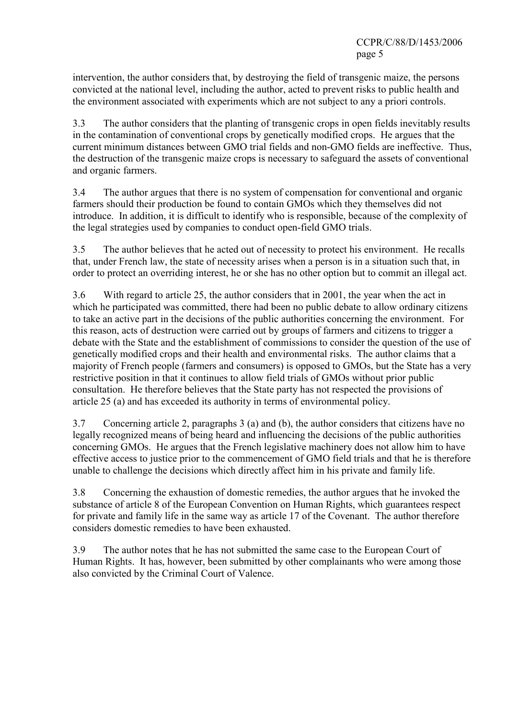CCPR/C/88/D/1453/2006 page 5

intervention, the author considers that, by destroying the field of transgenic maize, the persons convicted at the national level, including the author, acted to prevent risks to public health and the environment associated with experiments which are not subject to any a priori controls.

3.3 The author considers that the planting of transgenic crops in open fields inevitably results in the contamination of conventional crops by genetically modified crops. He argues that the current minimum distances between GMO trial fields and non-GMO fields are ineffective. Thus, the destruction of the transgenic maize crops is necessary to safeguard the assets of conventional and organic farmers.

3.4 The author argues that there is no system of compensation for conventional and organic farmers should their production be found to contain GMOs which they themselves did not introduce. In addition, it is difficult to identify who is responsible, because of the complexity of the legal strategies used by companies to conduct open-field GMO trials.

3.5 The author believes that he acted out of necessity to protect his environment. He recalls that, under French law, the state of necessity arises when a person is in a situation such that, in order to protect an overriding interest, he or she has no other option but to commit an illegal act.

3.6 With regard to article 25, the author considers that in 2001, the year when the act in which he participated was committed, there had been no public debate to allow ordinary citizens to take an active part in the decisions of the public authorities concerning the environment. For this reason, acts of destruction were carried out by groups of farmers and citizens to trigger a debate with the State and the establishment of commissions to consider the question of the use of genetically modified crops and their health and environmental risks. The author claims that a majority of French people (farmers and consumers) is opposed to GMOs, but the State has a very restrictive position in that it continues to allow field trials of GMOs without prior public consultation. He therefore believes that the State party has not respected the provisions of article 25 (a) and has exceeded its authority in terms of environmental policy.

3.7 Concerning article 2, paragraphs 3 (a) and (b), the author considers that citizens have no legally recognized means of being heard and influencing the decisions of the public authorities concerning GMOs. He argues that the French legislative machinery does not allow him to have effective access to justice prior to the commencement of GMO field trials and that he is therefore unable to challenge the decisions which directly affect him in his private and family life.

3.8 Concerning the exhaustion of domestic remedies, the author argues that he invoked the substance of article 8 of the European Convention on Human Rights, which guarantees respect for private and family life in the same way as article 17 of the Covenant. The author therefore considers domestic remedies to have been exhausted.

3.9 The author notes that he has not submitted the same case to the European Court of Human Rights. It has, however, been submitted by other complainants who were among those also convicted by the Criminal Court of Valence.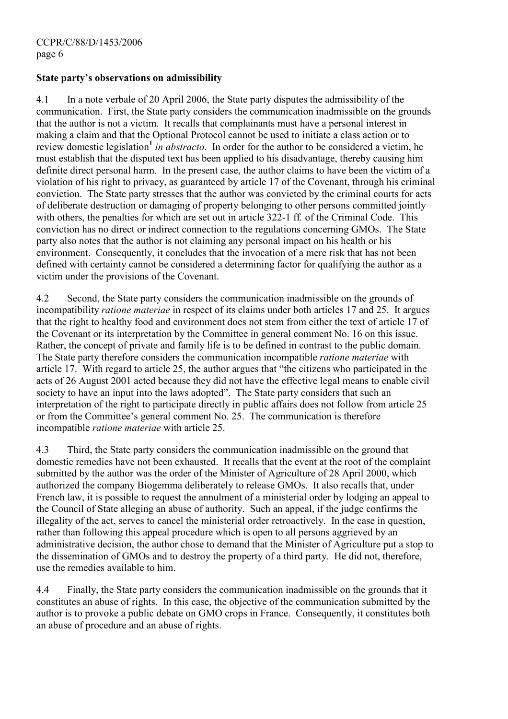# State party's observations on admissibility

4.1 In a note verbale of 20 April 2006, the State party disputes the admissibility of the communication. First, the State party considers the communication inadmissible on the grounds that the author is not a victim. It recalls that complainants must have a personal interest in making a claim and that the Optional Protocol cannot be used to initiate a class action or to review domestic legislation<sup>[1](#page-9-0)</sup> in abstracto. In order for the author to be considered a victim, he must establish that the disputed text has been applied to his disadvantage, thereby causing him definite direct personal harm. In the present case, the author claims to have been the victim of a violation of his right to privacy, as guaranteed by article 17 of the Covenant, through his criminal conviction. The State party stresses that the author was convicted by the criminal courts for acts of deliberate destruction or damaging of property belonging to other persons committed jointly with others, the penalties for which are set out in article 322-1 ff. of the Criminal Code. This conviction has no direct or indirect connection to the regulations concerning GMOs. The State party also notes that the author is not claiming any personal impact on his health or his environment. Consequently, it concludes that the invocation of a mere risk that has not been defined with certainty cannot be considered a determining factor for qualifying the author as a victim under the provisions of the Covenant.

4.2 Second, the State party considers the communication inadmissible on the grounds of incompatibility ratione materiae in respect of its claims under both articles 17 and 25. It argues that the right to healthy food and environment does not stem from either the text of article 17 of the Covenant or its interpretation by the Committee in general comment No. 16 on this issue. Rather, the concept of private and family life is to be defined in contrast to the public domain. The State party therefore considers the communication incompatible *ratione materiae* with article 17. With regard to article 25, the author argues that "the citizens who participated in the acts of 26 August 2001 acted because they did not have the effective legal means to enable civil society to have an input into the laws adopted". The State party considers that such an interpretation of the right to participate directly in public affairs does not follow from article 25 or from the Committee's general comment No. 25. The communication is therefore incompatible ratione materiae with article 25.

4.3 Third, the State party considers the communication inadmissible on the ground that domestic remedies have not been exhausted. It recalls that the event at the root of the complaint submitted by the author was the order of the Minister of Agriculture of 28 April 2000, which authorized the company Biogemma deliberately to release GMOs. It also recalls that, under French law, it is possible to request the annulment of a ministerial order by lodging an appeal to the Council of State alleging an abuse of authority. Such an appeal, if the judge confirms the illegality of the act, serves to cancel the ministerial order retroactively. In the case in question, rather than following this appeal procedure which is open to all persons aggrieved by an administrative decision, the author chose to demand that the Minister of Agriculture put a stop to the dissemination of GMOs and to destroy the property of a third party. He did not, therefore, use the remedies available to him.

4.4 Finally, the State party considers the communication inadmissible on the grounds that it constitutes an abuse of rights. In this case, the objective of the communication submitted by the author is to provoke a public debate on GMO crops in France. Consequently, it constitutes both an abuse of procedure and an abuse of rights.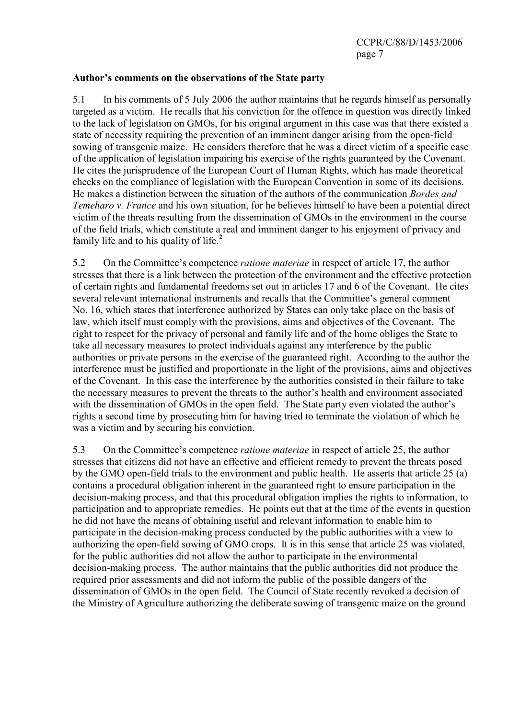### Author's comments on the observations of the State party

5.1 In his comments of 5 July 2006 the author maintains that he regards himself as personally targeted as a victim. He recalls that his conviction for the offence in question was directly linked to the lack of legislation on GMOs, for his original argument in this case was that there existed a state of necessity requiring the prevention of an imminent danger arising from the open-field sowing of transgenic maize. He considers therefore that he was a direct victim of a specific case of the application of legislation impairing his exercise of the rights guaranteed by the Covenant. He cites the jurisprudence of the European Court of Human Rights, which has made theoretical checks on the compliance of legislation with the European Convention in some of its decisions. He makes a distinction between the situation of the authors of the communication Bordes and Temeharo v. France and his own situation, for he believes himself to have been a potential direct victim of the threats resulting from the dissemination of GMOs in the environment in the course of the field trials, which constitute a real and imminent danger to his enjoyment of privacy and family life and to his quality of life. $<sup>2</sup>$  $<sup>2</sup>$  $<sup>2</sup>$ </sup>

5.2 On the Committee's competence ratione materiae in respect of article 17, the author stresses that there is a link between the protection of the environment and the effective protection of certain rights and fundamental freedoms set out in articles 17 and 6 of the Covenant. He cites several relevant international instruments and recalls that the Committee's general comment No. 16, which states that interference authorized by States can only take place on the basis of law, which itself must comply with the provisions, aims and objectives of the Covenant. The right to respect for the privacy of personal and family life and of the home obliges the State to take all necessary measures to protect individuals against any interference by the public authorities or private persons in the exercise of the guaranteed right. According to the author the interference must be justified and proportionate in the light of the provisions, aims and objectives of the Covenant. In this case the interference by the authorities consisted in their failure to take the necessary measures to prevent the threats to the author's health and environment associated with the dissemination of GMOs in the open field. The State party even violated the author's rights a second time by prosecuting him for having tried to terminate the violation of which he was a victim and by securing his conviction.

5.3 On the Committee's competence *ratione materiae* in respect of article 25, the author stresses that citizens did not have an effective and efficient remedy to prevent the threats posed by the GMO open-field trials to the environment and public health. He asserts that article 25 (a) contains a procedural obligation inherent in the guaranteed right to ensure participation in the decision-making process, and that this procedural obligation implies the rights to information, to participation and to appropriate remedies. He points out that at the time of the events in question he did not have the means of obtaining useful and relevant information to enable him to participate in the decision-making process conducted by the public authorities with a view to authorizing the open-field sowing of GMO crops. It is in this sense that article 25 was violated, for the public authorities did not allow the author to participate in the environmental decision-making process. The author maintains that the public authorities did not produce the required prior assessments and did not inform the public of the possible dangers of the dissemination of GMOs in the open field. The Council of State recently revoked a decision of the Ministry of Agriculture authorizing the deliberate sowing of transgenic maize on the ground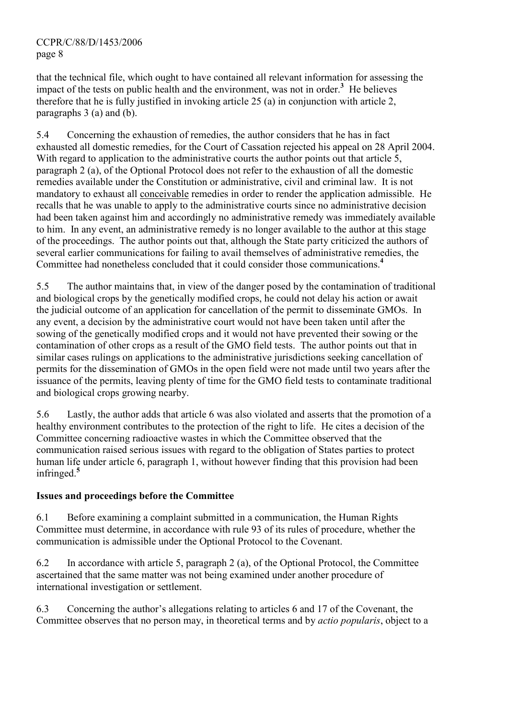that the technical file, which ought to have contained all relevant information for assessing the impact of the tests on public health and the environment, was not in order. $<sup>3</sup>$  $<sup>3</sup>$  $<sup>3</sup>$  He believes</sup> therefore that he is fully justified in invoking article 25 (a) in conjunction with article 2, paragraphs 3 (a) and (b).

5.4 Concerning the exhaustion of remedies, the author considers that he has in fact exhausted all domestic remedies, for the Court of Cassation rejected his appeal on 28 April 2004. With regard to application to the administrative courts the author points out that article 5, paragraph 2 (a), of the Optional Protocol does not refer to the exhaustion of all the domestic remedies available under the Constitution or administrative, civil and criminal law. It is not mandatory to exhaust all conceivable remedies in order to render the application admissible. He recalls that he was unable to apply to the administrative courts since no administrative decision had been taken against him and accordingly no administrative remedy was immediately available to him. In any event, an administrative remedy is no longer available to the author at this stage of the proceedings. The author points out that, although the State party criticized the authors of several earlier communications for failing to avail themselves of administrative remedies, the Committee had nonetheless concluded that it could consider those communications.[4](#page-9-0)

5.5 The author maintains that, in view of the danger posed by the contamination of traditional and biological crops by the genetically modified crops, he could not delay his action or await the judicial outcome of an application for cancellation of the permit to disseminate GMOs. In any event, a decision by the administrative court would not have been taken until after the sowing of the genetically modified crops and it would not have prevented their sowing or the contamination of other crops as a result of the GMO field tests. The author points out that in similar cases rulings on applications to the administrative jurisdictions seeking cancellation of permits for the dissemination of GMOs in the open field were not made until two years after the issuance of the permits, leaving plenty of time for the GMO field tests to contaminate traditional and biological crops growing nearby.

5.6 Lastly, the author adds that article 6 was also violated and asserts that the promotion of a healthy environment contributes to the protection of the right to life. He cites a decision of the Committee concerning radioactive wastes in which the Committee observed that the communication raised serious issues with regard to the obligation of States parties to protect human life under article 6, paragraph 1, without however finding that this provision had been infringed.[5](#page-9-0)

# Issues and proceedings before the Committee

6.1 Before examining a complaint submitted in a communication, the Human Rights Committee must determine, in accordance with rule 93 of its rules of procedure, whether the communication is admissible under the Optional Protocol to the Covenant.

6.2 In accordance with article 5, paragraph 2 (a), of the Optional Protocol, the Committee ascertained that the same matter was not being examined under another procedure of international investigation or settlement.

6.3 Concerning the author's allegations relating to articles 6 and 17 of the Covenant, the Committee observes that no person may, in theoretical terms and by actio popularis, object to a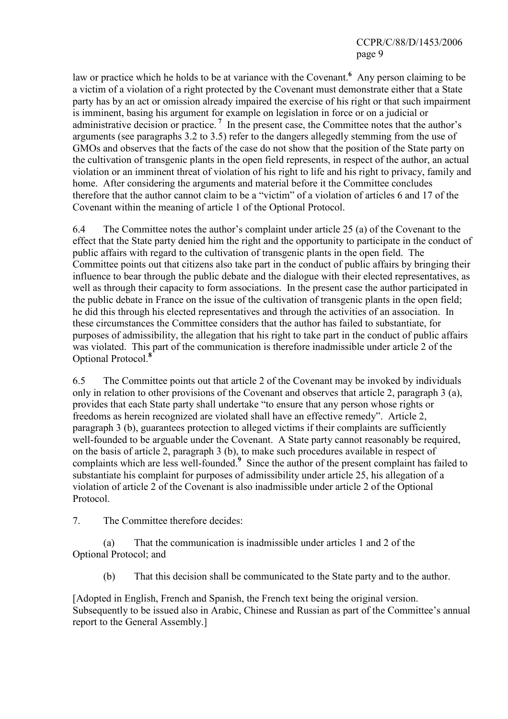# CCPR/C/88/D/1453/2006 page 9

law or practice which he holds to be at variance with the Covenant. Any person claiming to be a victim of a violation of a right protected by the Covenant must demonstrate either that a State party has by an act or omission already impaired the exercise of his right or that such impairment is imminent, basing his argument for example on legislation in force or on a judicial or administrative decision or practice.<sup>[7](#page-9-0)</sup> In the present case, the Committee notes that the author's arguments (see paragraphs 3.2 to 3.5) refer to the dangers allegedly stemming from the use of GMOs and observes that the facts of the case do not show that the position of the State party on the cultivation of transgenic plants in the open field represents, in respect of the author, an actual violation or an imminent threat of violation of his right to life and his right to privacy, family and home. After considering the arguments and material before it the Committee concludes therefore that the author cannot claim to be a "victim" of a violation of articles 6 and 17 of the Covenant within the meaning of article 1 of the Optional Protocol.

6.4 The Committee notes the author's complaint under article 25 (a) of the Covenant to the effect that the State party denied him the right and the opportunity to participate in the conduct of public affairs with regard to the cultivation of transgenic plants in the open field. The Committee points out that citizens also take part in the conduct of public affairs by bringing their influence to bear through the public debate and the dialogue with their elected representatives, as well as through their capacity to form associations. In the present case the author participated in the public debate in France on the issue of the cultivation of transgenic plants in the open field; he did this through his elected representatives and through the activities of an association. In these circumstances the Committee considers that the author has failed to substantiate, for purposes of admissibility, the allegation that his right to take part in the conduct of public affairs was violated. This part of the communication is therefore inadmissible under article 2 of the Optional Protocol.<sup>[8](#page-9-0)</sup>

6.5 The Committee points out that article 2 of the Covenant may be invoked by individuals only in relation to other provisions of the Covenant and observes that article 2, paragraph 3 (a), provides that each State party shall undertake "to ensure that any person whose rights or freedoms as herein recognized are violated shall have an effective remedy". Article 2, paragraph 3 (b), guarantees protection to alleged victims if their complaints are sufficiently well-founded to be arguable under the Covenant. A State party cannot reasonably be required, on the basis of article 2, paragraph 3 (b), to make such procedures available in respect of complaints which are less well-founded.<sup>[9](#page-9-0)</sup> Since the author of the present complaint has failed to substantiate his complaint for purposes of admissibility under article 25, his allegation of a violation of article 2 of the Covenant is also inadmissible under article 2 of the Optional Protocol.

7. The Committee therefore decides:

 (a) That the communication is inadmissible under articles 1 and 2 of the Optional Protocol; and

(b) That this decision shall be communicated to the State party and to the author.

[Adopted in English, French and Spanish, the French text being the original version. Subsequently to be issued also in Arabic, Chinese and Russian as part of the Committee's annual report to the General Assembly.]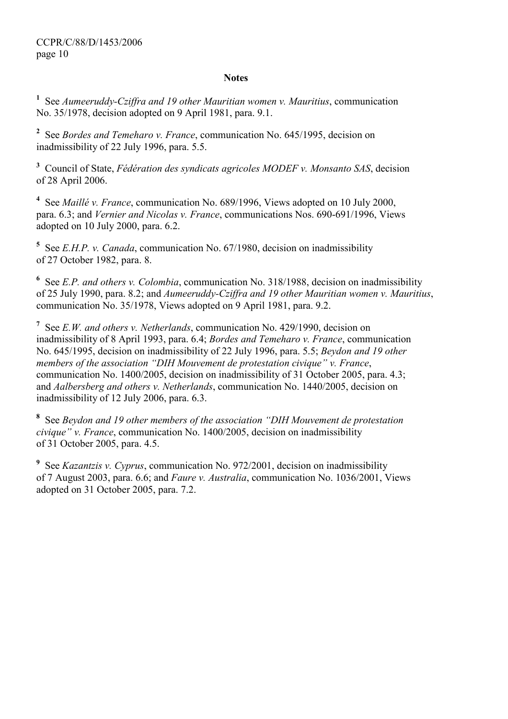### **Notes**

<span id="page-9-0"></span><sup>1</sup> See Aumeeruddy-Cziffra and 19 other Mauritian women v. Mauritius, communication No. 35/1978, decision adopted on 9 April 1981, para. 9.1.

<sup>2</sup> See *Bordes and Temeharo v. France*, communication No. 645/1995, decision on inadmissibility of 22 July 1996, para. 5.5.

 $3$  Council of State, Fédération des syndicats agricoles MODEF v. Monsanto SAS, decision of 28 April 2006.

<sup>4</sup> See *Maillé v. France*, communication No. 689/1996, Views adopted on 10 July 2000, para. 6.3; and Vernier and Nicolas v. France, communications Nos. 690-691/1996, Views adopted on 10 July 2000, para. 6.2.

<sup>5</sup> See *E.H.P. v. Canada*, communication No. 67/1980, decision on inadmissibility of 27 October 1982, para. 8.

<sup>6</sup> See *E.P. and others v. Colombia*, communication No. 318/1988, decision on inadmissibility of 25 July 1990, para. 8.2; and Aumeeruddy-Cziffra and 19 other Mauritian women v. Mauritius, communication No. 35/1978, Views adopted on 9 April 1981, para. 9.2.

<sup>7</sup> See *E.W. and others v. Netherlands*, communication No. 429/1990, decision on inadmissibility of 8 April 1993, para. 6.4; Bordes and Temeharo v. France, communication No. 645/1995, decision on inadmissibility of 22 July 1996, para. 5.5; Beydon and 19 other members of the association "DIH Mouvement de protestation civique" v. France, communication No. 1400/2005, decision on inadmissibility of 31 October 2005, para. 4.3; and Aalbersberg and others v. Netherlands, communication No. 1440/2005, decision on inadmissibility of 12 July 2006, para. 6.3.

 $8$  See Beydon and 19 other members of the association "DIH Mouvement de protestation civique" v. France, communication No. 1400/2005, decision on inadmissibility of 31 October 2005, para. 4.5.

<sup>9</sup> See *Kazantzis v. Cyprus*, communication No. 972/2001, decision on inadmissibility of 7 August 2003, para. 6.6; and Faure v. Australia, communication No. 1036/2001, Views adopted on 31 October 2005, para. 7.2.